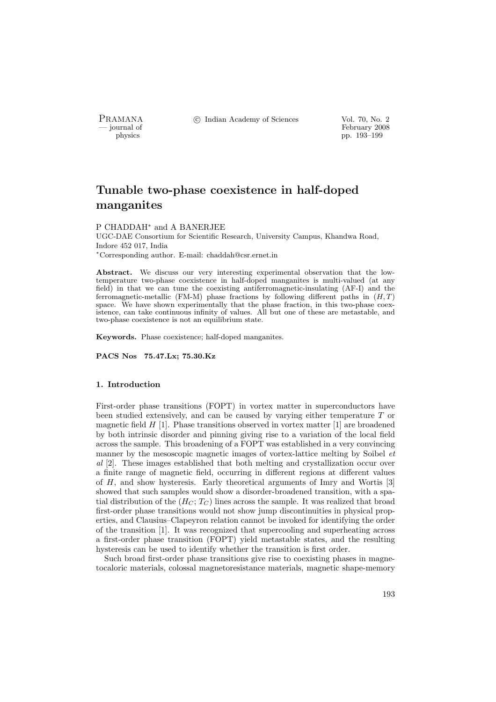PRAMANA °c Indian Academy of Sciences Vol. 70, No. 2

position of the set of the set of the set of the set of the set of the set of the set of the set of the set of the set of the set of the set of the set of the set of the set of the set of the set of the set of the set of t pp. 193–199

# Tunable two-phase coexistence in half-doped manganites

## P CHADDAH<sup>∗</sup> and A BANERJEE

UGC-DAE Consortium for Scientific Research, University Campus, Khandwa Road, Indore 452 017, India <sup>∗</sup>Corresponding author. E-mail: chaddah@csr.ernet.in

Abstract. We discuss our very interesting experimental observation that the lowtemperature two-phase coexistence in half-doped manganites is multi-valued (at any field) in that we can tune the coexisting antiferromagnetic-insulating (AF-I) and the ferromagnetic-metallic (FM-M) phase fractions by following different paths in  $(H, T)$ space. We have shown experimentally that the phase fraction, in this two-phase coexistence, can take continuous infinity of values. All but one of these are metastable, and two-phase coexistence is not an equilibrium state.

Keywords. Phase coexistence; half-doped manganites.

PACS Nos 75.47.Lx; 75.30.Kz

## 1. Introduction

First-order phase transitions (FOPT) in vortex matter in superconductors have been studied extensively, and can be caused by varying either temperature T or magnetic field  $H$  [1]. Phase transitions observed in vortex matter [1] are broadened by both intrinsic disorder and pinning giving rise to a variation of the local field across the sample. This broadening of a FOPT was established in a very convincing manner by the mesoscopic magnetic images of vortex-lattice melting by Soibel et al [2]. These images established that both melting and crystallization occur over a finite range of magnetic field, occurring in different regions at different values of H, and show hysteresis. Early theoretical arguments of Imry and Wortis [3] showed that such samples would show a disorder-broadened transition, with a spatial distribution of the  $(H_C; T_C)$  lines across the sample. It was realized that broad first-order phase transitions would not show jump discontinuities in physical properties, and Clausius–Clapeyron relation cannot be invoked for identifying the order of the transition [1]. It was recognized that supercooling and superheating across a first-order phase transition (FOPT) yield metastable states, and the resulting hysteresis can be used to identify whether the transition is first order.

Such broad first-order phase transitions give rise to coexisting phases in magnetocaloric materials, colossal magnetoresistance materials, magnetic shape-memory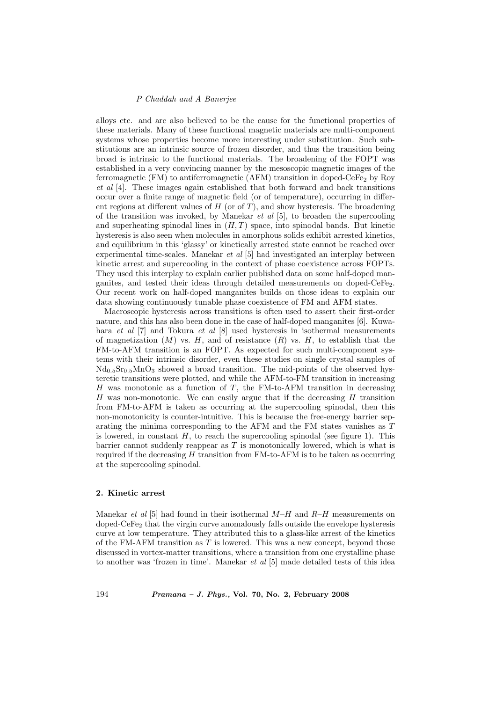## P Chaddah and A Banerjee

alloys etc. and are also believed to be the cause for the functional properties of these materials. Many of these functional magnetic materials are multi-component systems whose properties become more interesting under substitution. Such substitutions are an intrinsic source of frozen disorder, and thus the transition being broad is intrinsic to the functional materials. The broadening of the FOPT was established in a very convincing manner by the mesoscopic magnetic images of the ferromagnetic (FM) to antiferromagnetic (AFM) transition in doped-CeFe<sub>2</sub> by Roy et al [4]. These images again established that both forward and back transitions occur over a finite range of magnetic field (or of temperature), occurring in different regions at different values of  $H$  (or of  $T$ ), and show hysteresis. The broadening of the transition was invoked, by Manekar *et al* [5], to broaden the supercooling and superheating spinodal lines in  $(H, T)$  space, into spinodal bands. But kinetic hysteresis is also seen when molecules in amorphous solids exhibit arrested kinetics, and equilibrium in this 'glassy' or kinetically arrested state cannot be reached over experimental time-scales. Manekar et al [5] had investigated an interplay between kinetic arrest and supercooling in the context of phase coexistence across FOPTs. They used this interplay to explain earlier published data on some half-doped manganites, and tested their ideas through detailed measurements on doped-CeFe<sub>2</sub>. Our recent work on half-doped manganites builds on those ideas to explain our data showing continuously tunable phase coexistence of FM and AFM states.

Macroscopic hysteresis across transitions is often used to assert their first-order nature, and this has also been done in the case of half-doped manganites [6]. Kuwahara et al [7] and Tokura et al [8] used hysteresis in isothermal measurements of magnetization  $(M)$  vs. H, and of resistance  $(R)$  vs. H, to establish that the FM-to-AFM transition is an FOPT. As expected for such multi-component systems with their intrinsic disorder, even these studies on single crystal samples of  $Nd_{0.5}Sr_{0.5}MnO_3$  showed a broad transition. The mid-points of the observed hysteretic transitions were plotted, and while the AFM-to-FM transition in increasing  $H$  was monotonic as a function of  $T$ , the FM-to-AFM transition in decreasing H was non-monotonic. We can easily argue that if the decreasing  $H$  transition from FM-to-AFM is taken as occurring at the supercooling spinodal, then this non-monotonicity is counter-intuitive. This is because the free-energy barrier separating the minima corresponding to the AFM and the FM states vanishes as T is lowered, in constant  $H$ , to reach the supercooling spinodal (see figure 1). This barrier cannot suddenly reappear as  $T$  is monotonically lowered, which is what is required if the decreasing  $H$  transition from FM-to-AFM is to be taken as occurring at the supercooling spinodal.

#### 2. Kinetic arrest

Manekar *et al* [5] had found in their isothermal  $M-H$  and  $R-H$  measurements on doped-CeFe<sup>2</sup> that the virgin curve anomalously falls outside the envelope hysteresis curve at low temperature. They attributed this to a glass-like arrest of the kinetics of the FM-AFM transition as  $T$  is lowered. This was a new concept, beyond those discussed in vortex-matter transitions, where a transition from one crystalline phase to another was 'frozen in time'. Manekar et al [5] made detailed tests of this idea

194 Pramana – J. Phys., Vol. 70, No. 2, February 2008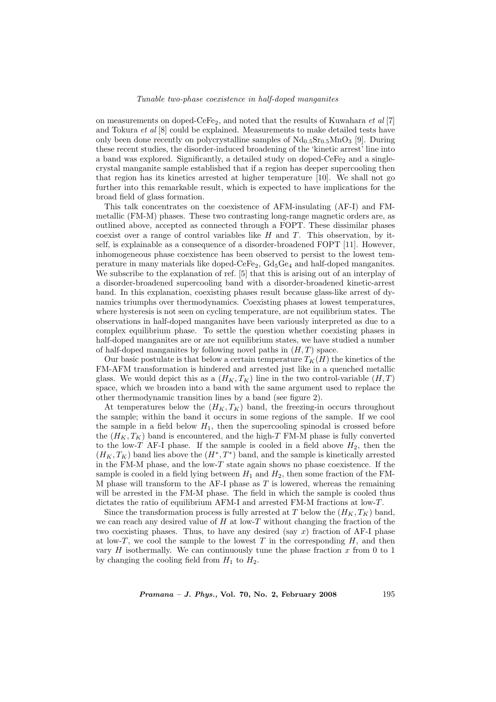## Tunable two-phase coexistence in half-doped manganites

on measurements on doped-CeFe<sub>2</sub>, and noted that the results of Kuwahara *et al* [7] and Tokura et al [8] could be explained. Measurements to make detailed tests have only been done recently on polycrystalline samples of  $Nd<sub>0.5</sub>Sr<sub>0.5</sub>MnO<sub>3</sub>$  [9]. During these recent studies, the disorder-induced broadening of the 'kinetic arrest' line into a band was explored. Significantly, a detailed study on doped- $CeFe<sub>2</sub>$  and a singlecrystal manganite sample established that if a region has deeper supercooling then that region has its kinetics arrested at higher temperature [10]. We shall not go further into this remarkable result, which is expected to have implications for the broad field of glass formation.

This talk concentrates on the coexistence of AFM-insulating (AF-I) and FMmetallic (FM-M) phases. These two contrasting long-range magnetic orders are, as outlined above, accepted as connected through a FOPT. These dissimilar phases coexist over a range of control variables like  $H$  and  $T$ . This observation, by itself, is explainable as a consequence of a disorder-broadened FOPT [11]. However, inhomogeneous phase coexistence has been observed to persist to the lowest temperature in many materials like doped-CeFe<sub>2</sub>,  $Gd_5Ge_4$  and half-doped manganites. We subscribe to the explanation of ref. [5] that this is arising out of an interplay of a disorder-broadened supercooling band with a disorder-broadened kinetic-arrest band. In this explanation, coexisting phases result because glass-like arrest of dynamics triumphs over thermodynamics. Coexisting phases at lowest temperatures, where hysteresis is not seen on cycling temperature, are not equilibrium states. The observations in half-doped manganites have been variously interpreted as due to a complex equilibrium phase. To settle the question whether coexisting phases in half-doped manganites are or are not equilibrium states, we have studied a number of half-doped manganites by following novel paths in  $({\cal H}, T)$  space.

Our basic postulate is that below a certain temperature  $T_K(H)$  the kinetics of the FM-AFM transformation is hindered and arrested just like in a quenched metallic glass. We would depict this as a  $(H_K, T_K)$  line in the two control-variable  $(H, T)$ space, which we broaden into a band with the same argument used to replace the other thermodynamic transition lines by a band (see figure 2).

At temperatures below the  $(H_K, T_K)$  band, the freezing-in occurs throughout the sample; within the band it occurs in some regions of the sample. If we cool the sample in a field below  $H_1$ , then the supercooling spinodal is crossed before the  $(H_K, T_K)$  band is encountered, and the high-T FM-M phase is fully converted to the low-T AF-I phase. If the sample is cooled in a field above  $H_2$ , then the  $(H_K, T_K)$  band lies above the  $(H^*, T^*)$  band, and the sample is kinetically arrested in the FM-M phase, and the low- $T$  state again shows no phase coexistence. If the sample is cooled in a field lying between  $H_1$  and  $H_2$ , then some fraction of the FM-M phase will transform to the AF-I phase as  $T$  is lowered, whereas the remaining will be arrested in the FM-M phase. The field in which the sample is cooled thus dictates the ratio of equilibrium AFM-I and arrested FM-M fractions at low-T.

Since the transformation process is fully arrested at T below the  $(H_K, T_K)$  band, we can reach any desired value of  $H$  at low-T without changing the fraction of the two coexisting phases. Thus, to have any desired (say  $x$ ) fraction of AF-I phase at low-T, we cool the sample to the lowest  $T$  in the corresponding  $H$ , and then vary  $H$  isothermally. We can continuously tune the phase fraction  $x$  from 0 to 1 by changing the cooling field from  $H_1$  to  $H_2$ .

 $Pramana - J. Phys., Vol. 70, No. 2, February 2008  $195$$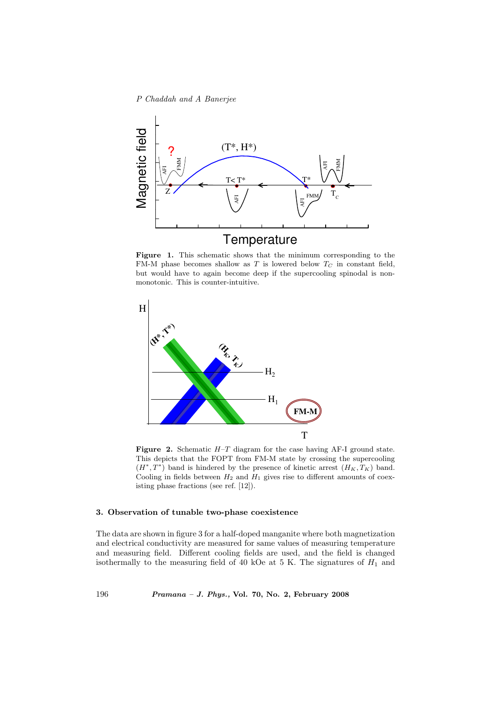## P Chaddah and A Banerjee



Figure 1. This schematic shows that the minimum corresponding to the FM-M phase becomes shallow as T is lowered below  $T<sub>C</sub>$  in constant field, but would have to again become deep if the supercooling spinodal is nonmonotonic. This is counter-intuitive.



**Figure 2.** Schematic  $H-T$  diagram for the case having AF-I ground state. This depicts that the FOPT from FM-M state by crossing the supercooling  $(H^*,T^*)$  band is hindered by the presence of kinetic arrest  $(H_K, T_K)$  band. Cooling in fields between  $H_2$  and  $H_1$  gives rise to different amounts of coexisting phase fractions (see ref. [12]).

## 3. Observation of tunable two-phase coexistence

The data are shown in figure 3 for a half-doped manganite where both magnetization and electrical conductivity are measured for same values of measuring temperature and measuring field. Different cooling fields are used, and the field is changed isothermally to the measuring field of 40 kOe at 5 K. The signatures of  $H_1$  and

196 Pramana – J. Phys., Vol. 70, No. 2, February 2008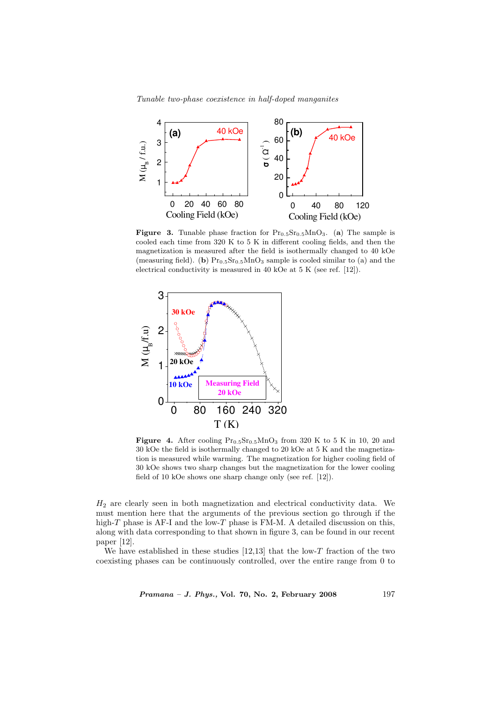Tunable two-phase coexistence in half-doped manganites



**Figure 3.** Tunable phase fraction for  $Pr_{0.5}Sr_{0.5}MnO_3$ . (a) The sample is cooled each time from 320 K to 5 K in different cooling fields, and then the magnetization is measured after the field is isothermally changed to 40 kOe (measuring field). (b)  $Pr_{0.5}Sr_{0.5}MnO_3$  sample is cooled similar to (a) and the electrical conductivity is measured in 40 kOe at 5 K (see ref. [12]).



Figure 4. After cooling  $Pr_{0.5}Sr_{0.5}MnO_3$  from 320 K to 5 K in 10, 20 and 30 kOe the field is isothermally changed to 20 kOe at 5 K and the magnetization is measured while warming. The magnetization for higher cooling field of 30 kOe shows two sharp changes but the magnetization for the lower cooling field of 10 kOe shows one sharp change only (see ref. [12]).

 $H_2$  are clearly seen in both magnetization and electrical conductivity data. We must mention here that the arguments of the previous section go through if the high- $T$  phase is AF-I and the low- $T$  phase is FM-M. A detailed discussion on this, along with data corresponding to that shown in figure 3, can be found in our recent paper [12].

We have established in these studies  $[12,13]$  that the low-T fraction of the two coexisting phases can be continuously controlled, over the entire range from 0 to

Pramana – J. Phys., Vol. 70, No. 2, February 2008 197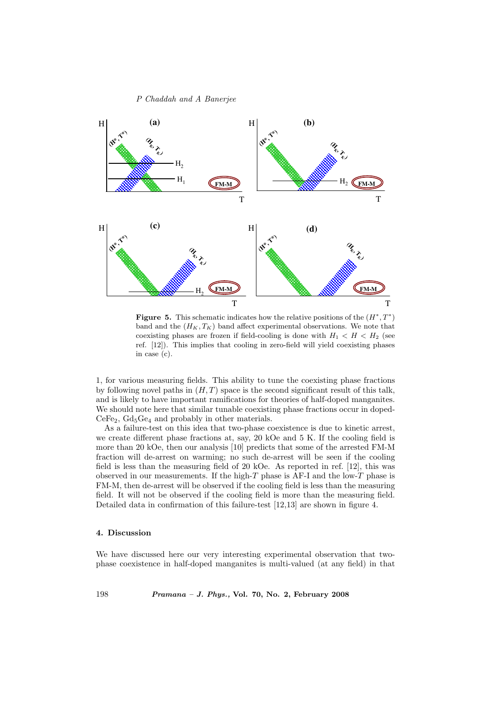P Chaddah and A Banerjee



Figure 5. This schematic indicates how the relative positions of the  $(H^*,T^*)$ band and the  $(H_K, T_K)$  band affect experimental observations. We note that coexisting phases are frozen if field-cooling is done with  $H_1 < H < H_2$  (see ref. [12]). This implies that cooling in zero-field will yield coexisting phases in case (c).

1, for various measuring fields. This ability to tune the coexisting phase fractions by following novel paths in  $(H, T)$  space is the second significant result of this talk, and is likely to have important ramifications for theories of half-doped manganites. We should note here that similar tunable coexisting phase fractions occur in doped- $CeFe<sub>2</sub>$ ,  $Gd<sub>5</sub>Ge<sub>4</sub>$  and probably in other materials.

As a failure-test on this idea that two-phase coexistence is due to kinetic arrest, we create different phase fractions at, say, 20 kOe and 5 K. If the cooling field is more than 20 kOe, then our analysis [10] predicts that some of the arrested FM-M fraction will de-arrest on warming; no such de-arrest will be seen if the cooling field is less than the measuring field of 20 kOe. As reported in ref. [12], this was observed in our measurements. If the high- $T$  phase is AF-I and the low- $T$  phase is FM-M, then de-arrest will be observed if the cooling field is less than the measuring field. It will not be observed if the cooling field is more than the measuring field. Detailed data in confirmation of this failure-test [12,13] are shown in figure 4.

## 4. Discussion

We have discussed here our very interesting experimental observation that twophase coexistence in half-doped manganites is multi-valued (at any field) in that

198 Pramana – J. Phys., Vol. 70, No. 2, February 2008